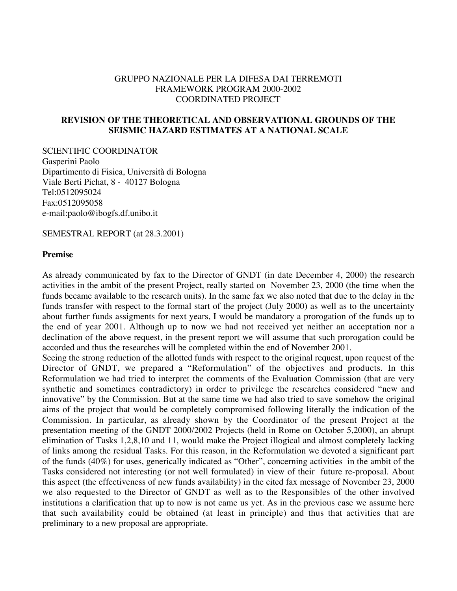#### GRUPPO NAZIONALE PER LA DIFESA DAI TERREMOTI FRAMEWORK PROGRAM 2000-2002 COORDINATED PROJECT

### **REVISION OF THE THEORETICAL AND OBSERVATIONAL GROUNDS OF THE SEISMIC HAZARD ESTIMATES AT A NATIONAL SCALE**

SCIENTIFIC COORDINATOR Gasperini Paolo Dipartimento di Fisica, Università di Bologna Viale Berti Pichat, 8 - 40127 Bologna Tel:0512095024 Fax:0512095058 e-mail:paolo@ibogfs.df.unibo.it

SEMESTRAL REPORT (at 28.3.2001)

#### **Premise**

As already communicated by fax to the Director of GNDT (in date December 4, 2000) the research activities in the ambit of the present Project, really started on November 23, 2000 (the time when the funds became available to the research units). In the same fax we also noted that due to the delay in the funds transfer with respect to the formal start of the project (July 2000) as well as to the uncertainty about further funds assigments for next years, I would be mandatory a prorogation of the funds up to the end of year 2001. Although up to now we had not received yet neither an acceptation nor a declination of the above request, in the present report we will assume that such prorogation could be accorded and thus the researches will be completed within the end of November 2001.

Seeing the strong reduction of the allotted funds with respect to the original request, upon request of the Director of GNDT, we prepared a "Reformulation" of the objectives and products. In this Reformulation we had tried to interpret the comments of the Evaluation Commission (that are very synthetic and sometimes contradictory) in order to privilege the researches considered "new and innovative" by the Commission. But at the same time we had also tried to save somehow the original aims of the project that would be completely compromised following literally the indication of the Commission. In particular, as already shown by the Coordinator of the present Project at the presentation meeting of the GNDT 2000/2002 Projects (held in Rome on October 5,2000), an abrupt elimination of Tasks 1,2,8,10 and 11, would make the Project illogical and almost completely lacking of links among the residual Tasks. For this reason, in the Reformulation we devoted a significant part of the funds (40%) for uses, generically indicated as "Other", concerning activities in the ambit of the Tasks considered not interesting (or not well formulated) in view of their future re-proposal. About this aspect (the effectiveness of new funds availability) in the cited fax message of November 23, 2000 we also requested to the Director of GNDT as well as to the Responsibles of the other involved institutions a clarification that up to now is not came us yet. As in the previous case we assume here that such availability could be obtained (at least in principle) and thus that activities that are preliminary to a new proposal are appropriate.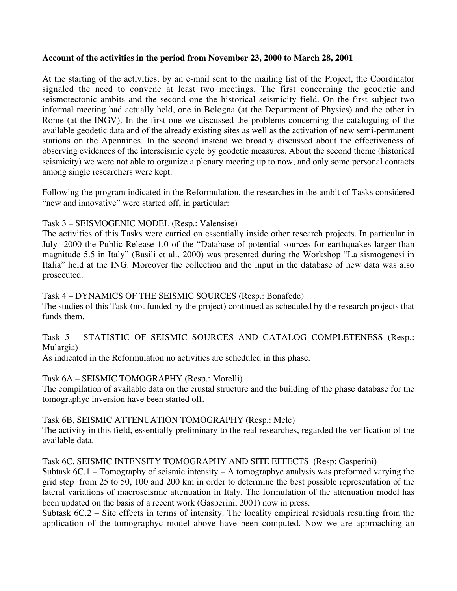### **Account of the activities in the period from November 23, 2000 to March 28, 2001**

At the starting of the activities, by an e-mail sent to the mailing list of the Project, the Coordinator signaled the need to convene at least two meetings. The first concerning the geodetic and seismotectonic ambits and the second one the historical seismicity field. On the first subject two informal meeting had actually held, one in Bologna (at the Department of Physics) and the other in Rome (at the INGV). In the first one we discussed the problems concerning the cataloguing of the available geodetic data and of the already existing sites as well as the activation of new semi-permanent stations on the Apennines. In the second instead we broadly discussed about the effectiveness of observing evidences of the interseismic cycle by geodetic measures. About the second theme (historical seismicity) we were not able to organize a plenary meeting up to now, and only some personal contacts among single researchers were kept.

Following the program indicated in the Reformulation, the researches in the ambit of Tasks considered "new and innovative" were started off, in particular:

# Task 3 – SEISMOGENIC MODEL (Resp.: Valensise)

The activities of this Tasks were carried on essentially inside other research projects. In particular in July 2000 the Public Release 1.0 of the "Database of potential sources for earthquakes larger than magnitude 5.5 in Italy" (Basili et al., 2000) was presented during the Workshop "La sismogenesi in Italia" held at the ING. Moreover the collection and the input in the database of new data was also prosecuted.

Task 4 – DYNAMICS OF THE SEISMIC SOURCES (Resp.: Bonafede)

The studies of this Task (not funded by the project) continued as scheduled by the research projects that funds them.

# Task 5 – STATISTIC OF SEISMIC SOURCES AND CATALOG COMPLETENESS (Resp.: Mulargia)

As indicated in the Reformulation no activities are scheduled in this phase.

### Task 6A – SEISMIC TOMOGRAPHY (Resp.: Morelli)

The compilation of available data on the crustal structure and the building of the phase database for the tomographyc inversion have been started off.

### Task 6B, SEISMIC ATTENUATION TOMOGRAPHY (Resp.: Mele)

The activity in this field, essentially preliminary to the real researches, regarded the verification of the available data.

### Task 6C, SEISMIC INTENSITY TOMOGRAPHY AND SITE EFFECTS (Resp: Gasperini)

Subtask 6C.1 – Tomography of seismic intensity – A tomographyc analysis was preformed varying the grid step from 25 to 50, 100 and 200 km in order to determine the best possible representation of the lateral variations of macroseismic attenuation in Italy. The formulation of the attenuation model has been updated on the basis of a recent work (Gasperini, 2001) now in press.

Subtask 6C.2 – Site effects in terms of intensity. The locality empirical residuals resulting from the application of the tomographyc model above have been computed. Now we are approaching an